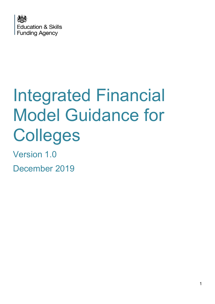

# Integrated Financial Model Guidance for Colleges

Version 1.0

December 2019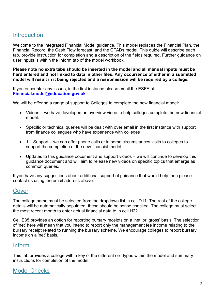### **Introduction**

Welcome to the Integrated Financial Model guidance. This model replaces the Financial Plan, the Financial Record, the Cash Flow forecast, and the CFADs model. This guide will describe each tab, provide instruction for completion and a description of the fields required. Further guidance on user inputs is within the Inform tab of the model workbook.

Please note no extra tabs should be inserted in the model and all manual inputs must be hard entered and not linked to data in other files. Any occurrence of either in a submitted model will result in it being rejected and a resubmission will be required by a college.

If you encounter any issues, in the first instance please email the ESFA at Financial.model@education.gov.uk

We will be offering a range of support to Colleges to complete the new financial model:

- Videos we have developed an overview video to help colleges complete the new financial model.
- Specific or technical queries will be dealt with over email in the first instance with support from finance colleagues who have experience with colleges
- 1:1 Support we can offer phone calls or in some circumstances visits to colleges to support the completion of the new financial model
- Updates to this guidance document and support videos we will continue to develop this guidance document and will aim to release new videos on specific topics that emerge as common queries.

If you have any suggestions about additional support of guidance that would help then please contact us using the email address above.

#### Cover

The college name must be selected from the dropdown list in cell D11. The rest of the college details will be automatically populated; these should be sense checked. The college must select the most recent month to enter actual financial data to in cell H22.

Cell E35 provides an option for reporting bursary receipts on a 'net' or 'gross' basis. The selection of 'net' here will mean that you intend to report only the management fee income relating to the bursary receipt related to running the bursary scheme. We encourage colleges to report bursary income on a 'net' basis.

#### Inform

This tab provides a college with a key of the different cell types within the model and summary instructions for completion of the model.

#### Model Checks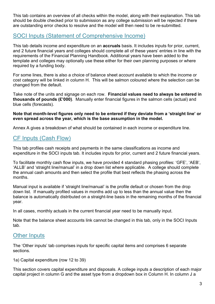This tab contains an overview of all checks within the model, along with their explanation. This tab should be double checked prior to submission as any college submission will be rejected if there are outstanding error checks to resolve and the model will then need to be re-submitted.

# SOCI Inputs (Statement of Comprehensive Income)

This tab details income and expenditure on an **accruals** basis. It includes inputs for prior, current, and 2 future financial years and colleges should complete all of these years' entries in line with the requirements of the Financial Planning Handbook. Additional years have been added to the template and colleges may optionally use these either for their own planning purposes or where required by a funding body.

For some lines, there is also a choice of balance sheet account available to which the income or cost category will be linked in column H. This will be salmon coloured where the selection can be changed from the default.

Take note of the units and signage on each row. Financial values need to always be entered in thousands of pounds (£'000). Manually enter financial figures in the salmon cells (actual) and blue cells (forecasts).

#### Note that month-level figures only need to be entered if they deviate from a 'straight line' or even spread across the year, which is the base assumption in the model.

Annex A gives a breakdown of what should be contained in each income or expenditure line.

# CF Inputs (Cash Flow)

This tab profiles cash receipts and payments in the same classifications as income and expenditure in the SOCI inputs tab. It includes inputs for prior, current and 2 future financial years.

To facilitate monthly cash flow inputs, we have provided 4 standard phasing profiles: 'GFE', 'AEB', 'ALLB' and 'straight line/manual' in a drop down list where applicable. A college should complete the annual cash amounts and then select the profile that best reflects the phasing across the months.

Manual input is available if 'straight line/manual' is the profile default or chosen from the drop down list. If manually profiled values in months add up to less than the annual value then the balance is automatically distributed on a straight-line basis in the remaining months of the financial year.

In all cases, monthly actuals in the current financial year need to be manually input.

Note that the balance sheet accounts link cannot be changed in this tab, only in the SOCI Inputs tab.

# **Other Inputs**

The 'Other inputs' tab comprises inputs for specific capital items and comprises 6 separate sections.

1a) Capital expenditure (row 12 to 39)

This section covers capital expenditure and disposals. A college inputs a description of each major capital project in column G and the asset type from a dropdown box in Column H. In column J a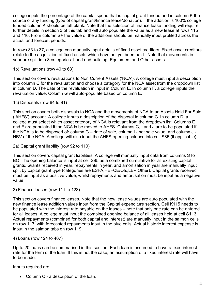college inputs the percentage of the capital spend that is capital grant funded and in column K the source of any funding (type of capital grant/finance lease/donation). If the addition is 100% college funded column K should be left blank. Note that the selection of finance lease funding will require further details in section 3 of this tab and will auto populate the value as a new lease at rows 115 and 116. From column S+ the value of the additions should be manually input profiled across the actual and forecast periods.

In rows 33 to 37, a college can manually input details of fixed asset creditors. Fixed asset creditors relate to the acquisition of fixed assets which have not yet been paid. Note that movements in year are split into 3 categories: Land and building, Equipment and Other assets.

1b) Revaluations (row 40 to 63)

This section covers revaluations to Non Current Assets ('NCA'). A college must input a description into column C for the revaluation and choose a category for the NCA asset from the dropdown list in column D. The date of the revaluation in input in Column E. In column F, a college inputs the revaluation value. Column G will auto-populate based on column E.

1c) Disposals (row 64 to 91)

This section covers both disposals to NCA and the movements of NCA to an Assets Held For Sale ('AHFS') account. A college inputs a description of the disposal in column C. In column D, a college must select which asset category of NCA is relevant from the dropdown list. Columns E and F are populated if the NCA is be moved to AHFS. Columns G, I and J are to be populated if the NCA is to be disposed of: column G – date of sale, column I - net sale value, and column J - NBV of the NCA. A college will also input the AHFS opening balance into cell S85 (if applicable).

2a) Capital grant liability (row 92 to 110)

This section covers capital grant liabilities. A college will manually input data from columns S to BO. The opening balance is input at cell S95 as a combined cumulative for all existing capital grants. Grants received in year, repayments in year, and amortisation in year are manually input split by capital grant type (categories are ESFA,HEFCE/Ofs,LEP,Other). Capital grants received must be input as a positive value, whilst repayments and amortisation must be input as a negative value.

3) Finance leases (row 111 to 123)

This section covers finance leases. Note that the new lease values are auto populated with the new finance lease addition values input from the Capital expenditure section. Cell K115 needs to be populated with the interest rate payable on the leases – note that only one rate can be entered for all leases. A college must input the combined opening balance of all leases held at cell S113. Actual repayments (combined for both capital and interest) are manually input in the salmon cells on row 117, with forecasted repayments input in the blue cells. Actual historic interest expense is input in the salmon tabs on row 119.

#### 4) Loans (row 124 to 467)

Up to 20 loans can be summarised in this section. Each loan is assumed to have a fixed interest rate for the term of the loan. If this is not the case, an assumption of a fixed interest rate will have to be made.

Inputs required are:

• Column C - a description of the loan.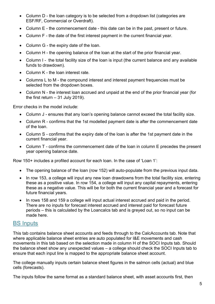- Column D the loan category is to be selected from a dropdown list (categories are ESF/RF, Commercial or Overdraft).
- Column E the commencement date this date can be in the past, present or future.
- Column F the date of the first interest payment in the current financial year.
- Column G the expiry date of the loan.
- Column H the opening balance of the loan at the start of the prior financial year.
- Column I the total facility size of the loan is input (the current balance and any available funds to drawdown).
- Column K the loan interest rate.
- Columns L to M the compound interest and interest payment frequencies must be selected from the dropdown boxes.
- Column N the interest loan accrued and unpaid at the end of the prior financial year (for the first return  $-31$  July 2019).

Error checks in the model include:

- Column J ensures that any loan's opening balance cannot exceed the total facility size.
- Column R confirms that the 1st modelled payment date is after the commencement date of the loan.
- Column S confirms that the expiry date of the loan is after the 1st payment date in the current financial year.
- Column T confirms the commencement date of the loan in column E precedes the present year opening balance date.

Row 150+ includes a profiled account for each loan. In the case of 'Loan 1':

- The opening balance of the loan (row 152) will auto-populate from the previous input data.
- In row 153, a college will input any new loan drawdowns from the total facility size, entering these as a positive value. In row 154, a college will input any capital repayments, entering these as a negative value. This will be for both the current financial year and a forecast for future financial years.
- In rows 158 and 159 a college will input actual interest accrued and paid in the period. There are no inputs for forecast interest accrued and interest paid for forecast future periods – this is calculated by the Loancalcs tab and is greyed out, so no input can be made here.

#### BS Inputs

This tab contains balance sheet accounts and feeds through to the CalcAccounts tab. Note that where applicable balance sheet entries are auto populated for I&E movements and cash movements in this tab based on the selection made in column H of the SOCI Inputs tab. Should the balance sheet show any unexpected values – a college should check the SOCI Inputs tab to ensure that each input line is mapped to the appropriate balance sheet account.

The college manually inputs certain balance sheet figures in the salmon cells (actual) and blue cells (forecasts).

The inputs follow the same format as a standard balance sheet, with asset accounts first, then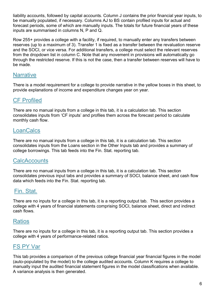liability accounts, followed by capital accounts. Column J contains the prior financial year inputs, to be manually populated, if necessary. Columns AJ to BS contain profiled inputs for actual and forecast periods, some of which are manually inputs. The totals for future financial years of these inputs are summarised in columns N, P and Q.

Row 255+ provides a college with a facility, if required, to manually enter any transfers between reserves (up to a maximum of 3). Transfer 1 is fixed as a transfer between the revaluation reserve and the SOCI, or vice versa. For additional transfers, a college must select the relevant reserves from the dropdown list in column C. Note that any movement in provisions will automatically go through the restricted reserve. If this is not the case, then a transfer between reserves will have to be made.

#### **Narrative**

There is a model requirement for a college to provide narrative in the yellow boxes in this sheet, to provide explanations of income and expenditure changes year on year.

# CF Profiled

There are no manual inputs from a college in this tab, it is a calculation tab. This section consolidates inputs from 'CF inputs' and profiles them across the forecast period to calculate monthly cash flow.

# **LoanCalcs**

There are no manual inputs from a college in this tab, it is a calculation tab. This section consolidates inputs from the Loans section in the Other Inputs tab and provides a summary of college borrowings. This tab feeds into the Fin. Stat. reporting tab.

# **CalcAccounts**

There are no manual inputs from a college in this tab, it is a calculation tab. This section consolidates previous input tabs and provides a summary of SOCI, balance sheet, and cash flow data which feeds into the Fin. Stat. reporting tab.

# Fin. Stat.

There are no inputs for a college in this tab, it is a reporting output tab. This section provides a college with 4 years of financial statements comprising SOCI, balance sheet, direct and indirect cash flows.

#### Ratios

There are no inputs for a college in this tab, it is a reporting output tab. This section provides a college with 4 years of performance-related ratios.

# FS PY Var

This tab provides a comparison of the previous college financial year financial figures in the model (auto-populated by the model) to the college audited accounts. Column K requires a college to manually input the audited financial statement figures in the model classifications when available. A variance analysis is then generated.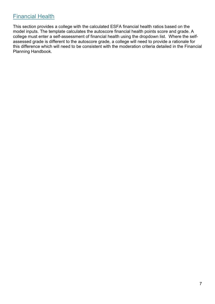# Financial Health

This section provides a college with the calculated ESFA financial health ratios based on the model inputs. The template calculates the autoscore financial health points score and grade. A college must enter a self-assessment of financial health using the dropdown list. Where the selfassessed grade is different to the autoscore grade, a college will need to provide a rationale for this difference which will need to be consistent with the moderation criteria detailed in the Financial Planning Handbook.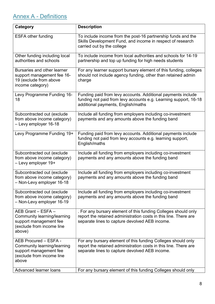# Annex A - Definitions

| Category                                                                                                             | <b>Description</b>                                                                                                                                                                   |
|----------------------------------------------------------------------------------------------------------------------|--------------------------------------------------------------------------------------------------------------------------------------------------------------------------------------|
| <b>ESFA other funding</b>                                                                                            | To include income from the post-16 partnership funds and the<br>Skills Development Fund, and income in respect of research<br>carried out by the college                             |
| Other funding including local<br>authorities and schools                                                             | To include income from local authorities and schools for 14-19<br>partnership and top up funding for high needs students                                                             |
| Bursaries and other learner<br>support management fee 16-<br>19 (exclude from above<br>income category)              | For any learner support bursary element of this funding, colleges<br>should not include agency funding, other than retained admin<br>charge                                          |
| Levy Programme Funding 16-<br>18                                                                                     | Funding paid from levy accounts. Additional payments include<br>funding not paid from levy accounts e.g. Learning support, 16-18<br>additional payments, English/maths               |
| Subcontracted out (exclude<br>from above income category)<br>- Levy employer 16-18                                   | Include all funding from employers including co-investment<br>payments and any amounts above the funding band                                                                        |
| Levy Programme Funding 19+                                                                                           | Funding paid from levy accounts. Additional payments include<br>funding not paid from levy accounts e.g. learning support,<br>English/maths                                          |
| Subcontracted out (exclude<br>from above income category)<br>- Levy employer 19+                                     | Include all funding from employers including co-investment<br>payments and any amounts above the funding band                                                                        |
| Subcontracted out (exclude<br>from above income category)<br>- Non-Levy employer 16-18                               | Include all funding from employers including co-investment<br>payments and any amounts above the funding band                                                                        |
| Subcontracted out (exclude<br>from above income category)<br>- Non-Levy employer 16-19                               | Include all funding from employers including co-investment<br>payments and any amounts above the funding band                                                                        |
| AEB Grant - ESFA -<br>Community learning/learning<br>support management fee<br>(exclude from income line<br>above)   | . For any bursary element of this funding Colleges should only<br>report the retained administration costs in this line. There are<br>separate lines to capture devolved AEB income. |
| AEB Procured - ESFA -<br>Community learning/learning<br>support management fee<br>(exclude from income line<br>above | For any bursary element of this funding Colleges should only<br>report the retained administration costs in this line. There are<br>separate lines to capture devolved AEB income.   |
| Advanced learner loans                                                                                               | For any bursary element of this funding Colleges should only                                                                                                                         |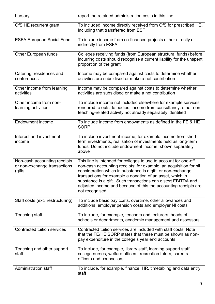| bursary                                                                 | report the retained administration costs in this line.                                                                                                                                                                                                                                                                                                                                                                  |
|-------------------------------------------------------------------------|-------------------------------------------------------------------------------------------------------------------------------------------------------------------------------------------------------------------------------------------------------------------------------------------------------------------------------------------------------------------------------------------------------------------------|
| OfS HE recurrent grant                                                  | To included income directly received from OfS for prescribed HE,<br>including that transferred from ESF                                                                                                                                                                                                                                                                                                                 |
| <b>ESFA European Social Fund</b>                                        | To include income from co-financed projects either directly or<br>indirectly from ESFA                                                                                                                                                                                                                                                                                                                                  |
| <b>Other European funds</b>                                             | Colleges receiving funds (from European structural funds) before<br>incurring costs should recognise a current liability for the unspent<br>proportion of the grant                                                                                                                                                                                                                                                     |
| Catering, residences and<br>conferences                                 | Income may be compared against costs to determine whether<br>activities are subsidised or make a net contribution                                                                                                                                                                                                                                                                                                       |
| Other income from learning<br>activities                                | Income may be compared against costs to determine whether<br>activities are subsidised or make a net contribution                                                                                                                                                                                                                                                                                                       |
| Other income from non-<br>learning activities                           | To include income not included elsewhere for example services<br>rendered to outside bodies, income from consultancy, other non-<br>teaching-related activity not already separately identified                                                                                                                                                                                                                         |
| <b>Endowment income</b>                                                 | To include income from endowments as defined in the FE & HE<br><b>SORP</b>                                                                                                                                                                                                                                                                                                                                              |
| Interest and investment<br>income                                       | To include investment income, for example income from short-<br>term investments, realisation of investments held as long-term<br>funds. Do not include endowment income, shown separately<br>above                                                                                                                                                                                                                     |
| Non-cash accounting receipts<br>or non-exchange transactions<br>(gifts) | This line is intended for colleges to use to account for one-off<br>non-cash accounting receipts: for example, an acquisition for nil<br>consideration which in substance is a gift: or non-exchange<br>transactions for example a donation of an asset, which in<br>substance is a gift. Such transactions can distort EBITDA and<br>adjusted income and because of this the accounting receipts are<br>not recognised |
| Staff costs (excl restructuring)                                        | To include basic pay costs. overtime, other allowances and<br>additions, employer pension costs and employer NI costs                                                                                                                                                                                                                                                                                                   |
| Teaching staff                                                          | To include, for example, teachers and lecturers, heads of<br>schools or departments, academic management and assessors                                                                                                                                                                                                                                                                                                  |
| <b>Contracted tuition services</b>                                      | Contracted tuition services are included with staff costs. Note<br>that the FE/HE SORP states that these must be shown as non-<br>pay expenditure in the college's year end accounts                                                                                                                                                                                                                                    |
| Teaching and other support<br>staff                                     | To include, for example, library staff, learning support staff,<br>college nurses, welfare officers, recreation tutors, careers<br>officers and counsellors                                                                                                                                                                                                                                                             |
| <b>Administration staff</b>                                             | To include, for example, finance, HR, timetabling and data entry<br>staff                                                                                                                                                                                                                                                                                                                                               |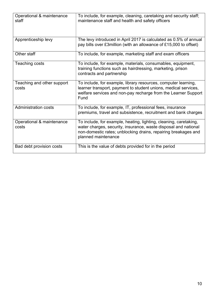| Operational & maintenance<br>staff  | To include, for example, cleaning, caretaking and security staff;<br>maintenance staff and health and safety officers                                                                                                         |
|-------------------------------------|-------------------------------------------------------------------------------------------------------------------------------------------------------------------------------------------------------------------------------|
| Apprenticeship levy                 | The levy introduced in April 2017 is calculated as 0.5% of annual<br>pay bills over £3million (with an allowance of £15,000 to offset)                                                                                        |
| Other staff                         | To include, for example, marketing staff and exam officers                                                                                                                                                                    |
| Teaching costs                      | To include, for example, materials, consumables, equipment,<br>training functions such as hairdressing, marketing, prison<br>contracts and partnership                                                                        |
| Teaching and other support<br>costs | To include, for example, library resources, computer learning,<br>learner transport, payment to student unions, medical services,<br>welfare services and non-pay recharge from the Learner Support<br>Fund                   |
| <b>Administration costs</b>         | To include, for example, IT, professional fees, insurance<br>premiums, travel and subsistence, recruitment and bank charges                                                                                                   |
| Operational & maintenance<br>costs  | To include, for example, heating, lighting, cleaning, caretaking,<br>water charges, security, insurance, waste disposal and national<br>non-domestic rates; unblocking drains, repairing breakages and<br>planned maintenance |
| Bad debt provision costs            | This is the value of debts provided for in the period                                                                                                                                                                         |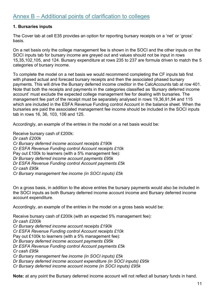#### 1. Bursaries inputs

The Cover tab at cell E35 provides an option for reporting bursary receipts on a 'net' or 'gross' basis.

On a net basis only the college management fee is shown in the SOCI and the other inputs on the SOCI inputs tab for bursary income are greyed out and values should not be input in rows 15,35,102,105, and 124. Bursary expenditure at rows 235 to 237 are formula driven to match the 5 categories of bursary income.

To complete the model on a net basis we would recommend completing the CF inputs tab first with phased actual and forecast bursary receipts and then the associated phased bursary payments. This will drive the Bursary deferred income creditor in the CalcAccounts tab at row 401. Note that both the receipts and payments in the categories classified as 'Bursary deferred income account' must exclude the expected college management fee for dealing with bursaries. The management fee part of the receipt must be separately analysed in rows 19,36,91,94 and 115 which are included in the ESFA Revenue Funding control Account in the balance sheet. When the bursaries are paid the associated management fee income should be included in the SOCI inputs tab in rows 16, 36, 103, 106 and 125.

Accordingly, an example of the entries in the model on a net basis would be:

Receive bursary cash of £200k: Dr cash £200k Cr Bursary deferred income account receipts £190k Cr ESFA Revenue Funding control Account receipts £10k Pay out £100k to learners (with a 5% management fee): Dr Bursary deferred income account payments £95k Dr ESFA Revenue Funding control Account payments £5k Cr cash £95k Cr Bursary management fee income (in SOCI inputs) £5k

On a gross basis, in addition to the above entries the bursary payments would also be included in the SOCI inputs as both Bursary deferred income account income and Bursary deferred income account expenditure.

Accordingly, an example of the entries in the model on a gross basis would be:

Receive bursary cash of £200k (with an expected 5% management fee): Dr cash £200k Cr Bursary deferred income account receipts £190k Cr ESFA Revenue Funding control Account receipts £10k Pay out £100k to learners (with a 5% management fee): Dr Bursary deferred income account payments £95k Dr ESFA Revenue Funding control Account payments £5k Cr cash £95k Cr Bursary management fee income (in SOCI inputs) £5k Dr Bursary deferred income account expenditure (in SOCI inputs) £95k Cr Bursary deferred income account income (in SOCI inputs) £95k

Note: at any point the Bursary deferred income account will not reflect all bursary funds in hand.